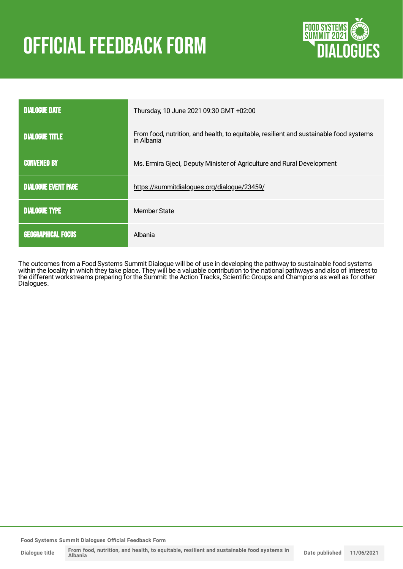# **OFFICIAL FEEDBACK FORM**



| <b>DIALOGUE DATE</b>       | Thursday, 10 June 2021 09:30 GMT +02:00                                                              |
|----------------------------|------------------------------------------------------------------------------------------------------|
| <b>DIALOGUE TITLE</b>      | From food, nutrition, and health, to equitable, resilient and sustainable food systems<br>in Albania |
| <b>CONVENED BY</b>         | Ms. Ermira Gjeci, Deputy Minister of Agriculture and Rural Development                               |
| <b>DIALOGUE EVENT PAGE</b> | https://summitdialogues.org/dialogue/23459/                                                          |
| <b>DIALOGUE TYPE</b>       | Member State                                                                                         |
| <b>GEOGRAPHICAL FOCUS</b>  | Albania                                                                                              |

The outcomes from a Food Systems Summit Dialogue will be of use in developing the pathway to sustainable food systems within the locality in which they take place. They will be a valuable contribution to the national pathways and also of interest to the different workstreams preparing for the Summit: the Action Tracks, Scientific Groups and Champions as well as for other Dialogues.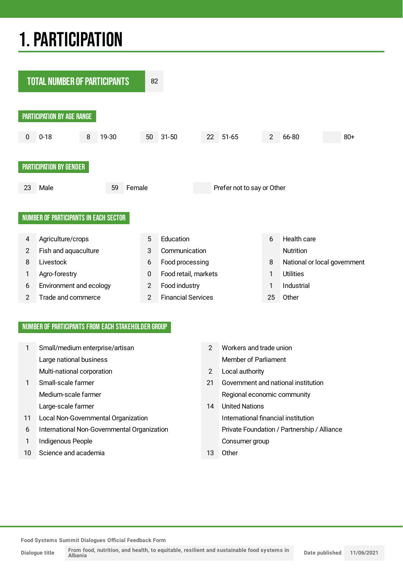## 1.PARTICIPATION



## NUMBER OF PARTICIPANTS FROM EACH STAKEHOLDER GROUP

|    | Small/medium enterprise/artisan             | $\mathcal{P}$ | Workers and trade union                     |
|----|---------------------------------------------|---------------|---------------------------------------------|
|    | Large national business                     |               | <b>Member of Parliament</b>                 |
|    | Multi-national corporation                  | 2             | Local authority                             |
|    | Small-scale farmer                          | 21            | Government and national institution         |
|    | Medium-scale farmer                         |               | Regional economic community                 |
|    | Large-scale farmer                          | 14            | <b>United Nations</b>                       |
| 11 | Local Non-Governmental Organization         |               | International financial institution         |
| 6  | International Non-Governmental Organization |               | Private Foundation / Partnership / Alliance |
|    | Indigenous People                           |               | Consumer group                              |
| 10 | Science and academia                        | 13            | Other                                       |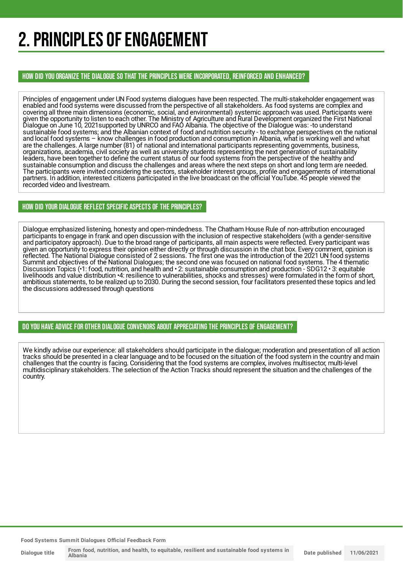## 2. PRINCIPLES OF ENGAGEMENT

HOW DID YOU ORGANIZE THE DIALOGUE SO THAT THE PRINCIPLES WERE INCORPORATED, REINFORCED AND ENHANCED?

Principles of engagement under UN Food systems dialogues have been respected. The multi-stakeholder engagement was enabled and food systems were discussed from the perspective of all stakeholders. As food systems are complex and covering all three main dimensions (economic, social, and environmental) systemic approach was used. Participants were given the opportunity to listen to each other. The Ministry of Agriculture and Rural Development organized the First National Dialogue on June 10, 2021supported by UNRCO and FAO Albania. The objective of the Dialogue was: -to understand sustainable food systems; and the Albanian context of food and nutrition security - to exchange perspectives on the national and local food systems – know challenges in food production and consumption in Albania, what is working well and what are the challenges. A large number (81) of national and international participants representing governments, business, organizations, academia, civil society as well as university students representing the next generation of sustainability leaders, have been together to define the current status of our food systems from the perspective of the healthy and sustainable consumption and discuss the challenges and areas where the next steps on short and long term are needed. The participants were invited considering the sectors, stakeholder interest groups, profile and engagements of international partners. In addition, interested citizens participated in the live broadcast on the official YouTube. 45 people viewed the recorded video and livestream.

## HOW DID YOUR DIALOGUE REFLECT SPECIFIC ASPECTS OF THE PRINCIPLES?

Dialogue emphasized listening, honesty and open-mindedness. The Chatham House Rule of non-attribution encouraged participants to engage in frank and open discussion with the inclusion of respective stakeholders (with a gender-sensitive and participatory approach). Due to the broad range of participants, all main aspects were reflected. Every participant was given an opportunity to express their opinion either directly or through discussion in the chat box. Every comment, opinion is reflected. The National Dialogue consisted of 2 sessions. The first one was the introduction of the 2021 UN food systems Summit and objectives of the National Dialogues; the second one was focused on national food systems. The 4 thematic Discussion Topics (•1: food, nutrition, and health and • 2: sustainable consumption and production - SDG12 • 3: equitable livelihoods and value distribution •4: resilience to vulnerabilities, shocks and stresses) were formulated in the form of short, ambitious statements, to be realized up to 2030. During the second session, four facilitators presented these topics and led the discussions addressed through questions

## DO YOU HAVE ADVICE FOR OTHER DIALOGUE CONVENORS ABOUT APPRECIATINGTHE PRINCIPLES OF ENGAGEMENT?

We kindly advise our experience: all stakeholders should participate in the dialogue; moderation and presentation of all action tracks should be presented in a clear language and to be focused on the situation of the food system in the country and main challenges that the country is facing. Considering that the food systems are complex, involves multisector, multi-level multidisciplinary stakeholders. The selection of the Action Tracks should represent the situation and the challenges of the country.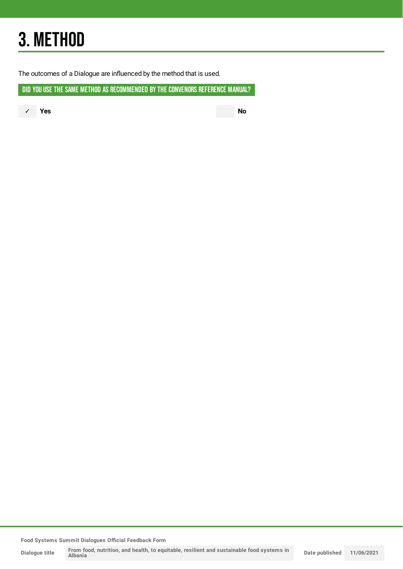## 3. METHOD

The outcomes of a Dialogue are influenced by the method that is used.

DID YOU USE THE SAME METHOD AS RECOMMENDED BY THE CONVENORS REFERENCE MANUAL?

✓ **Yes No**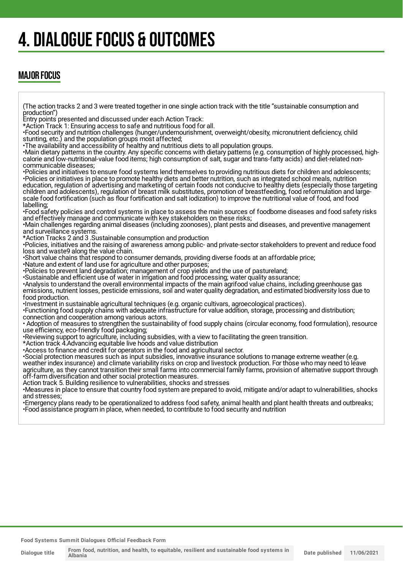## 4. DIALOGUE FOCUS & OUTCOMES

## MAJOR FOCUS

(The action tracks 2 and 3 were treated together in one single action track with the title "sustainable consumption and production")

Entry points presented and discussed under each Action Track:

\*Action Track 1: Ensuring access to safe and nutritious food for all.

•Food security and nutrition challenges (hunger/undernourishment, overweight/obesity, micronutrient deficiency, child stunting, etc.) and the population groups most affected;

•The availability and accessibility of healthy and nutritious diets to all population groups.

•Main dietary patterns in the country. Any specific concerns with dietary patterns (e.g. consumption of highly processed, highcalorie and low-nutritional-value food items; high consumption of salt, sugar and trans-fatty acids) and diet-related noncommunicable diseases;

•Policies and initiatives to ensure food systems lend themselves to providing nutritious diets for children and adolescents; •Policies or initiatives in place to promote healthy diets and better nutrition, such as integrated school meals, nutrition education, regulation of advertising and marketing of certain foods not conducive to healthy diets (especially those targeting children and adolescents), regulation of breast milk substitutes, promotion of breastfeeding, food reformulation and largescale food fortification (such as flour fortification and salt iodization) to improve the nutritional value of food, and food labelling;

•Food safety policies and control systems in place to assess the main sources of foodborne diseases and food safety risks and effectively manage and communicate with key stakeholders on these risks;

•Main challenges regarding animal diseases (including zoonoses), plant pests and diseases, and preventive management and surveillance systems.

\*Action Tracks 2 and 3 .Sustainable consumption and production

•Policies, initiatives and the raising of awareness among public- and private-sector stakeholders to prevent and reduce food loss and waste9 along the value chain.

•Short value chains that respond to consumer demands, providing diverse foods at an affordable price;

•Nature and extent of land use for agriculture and other purposes;

•Policies to prevent land degradation; management of crop yields and the use of pastureland;

•Sustainable and efficient use of water in irrigation and food processing; water quality assurance;

•Analysis to understand the overall environmental impacts of the main agrifood value chains, including greenhouse gas emissions, nutrient losses, pesticide emissions, soil and water quality degradation, and estimated biodiversity loss due to food production.

•Investment in sustainable agricultural techniques (e.g. organic cultivars, agroecological practices).

•Functioning food supply chains with adequate infrastructure for value addition, storage, processing and distribution; connection and cooperation among various actors.

• Adoption of measures to strengthen the sustainability of food supply chains (circular economy, food formulation), resource use efficiency, eco-friendly food packaging;

•Reviewing support to agriculture, including subsidies, with a view to facilitating the green transition.

\*Action track 4.Advancing equitable live hoods and value distribution

•Access to finance and credit for operators in the food and agricultural sector.

•Social protection measures such as input subsidies, innovative insurance solutions to manage extreme weather (e.g. weather index insurance) and climate variability risks on crop and livestock production. For those who may need to leave agriculture, as they cannot transition their small farms into commercial family farms, provision of alternative support through off-farm diversification and other social protection measures.

Action track 5. Building resilience to vulnerabilities, shocks and stresses

•Measures in place to ensure that country food system are prepared to avoid, mitigate and/or adapt to vulnerabilities, shocks and stresses;

•Emergency plans ready to be operationalized to address food safety, animal health and plant health threats and outbreaks; •Food assistance program in place, when needed, to contribute to food security and nutrition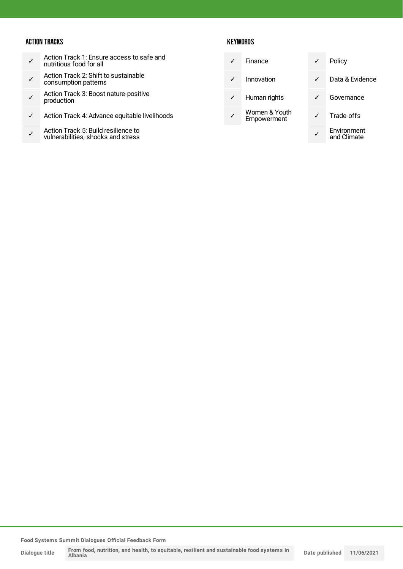## ACTION TRACKS

- ✓ Action Track 1: Ensure access to safe and nutritious food for all
- ✓ Action Track 2: Shift to sustainable consumption patterns
- ✓ Action Track 3: Boost nature-positive production
- ✓ Action Track 4: Advance equitable livelihoods
- ✓ Action Track 5: Build resilience to vulnerabilities, shocks and stress

## **KEYWORDS**

|              | Finance                      | ✓ | Policy                     |
|--------------|------------------------------|---|----------------------------|
|              | Innovation                   | ✓ | Data & Evidence            |
| $\checkmark$ | Human rights                 |   | Governance                 |
|              | Women & Youth<br>Empowerment |   | Trade-offs                 |
|              |                              |   | Environment<br>and Climate |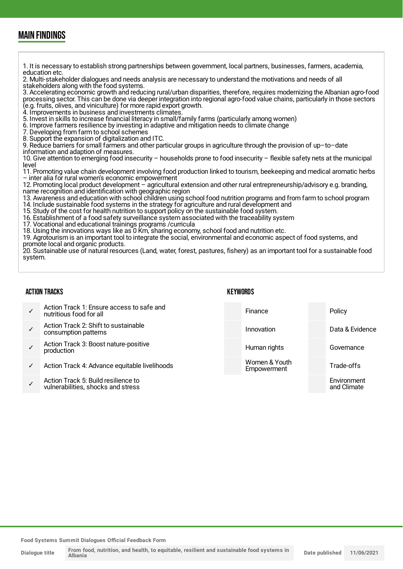## MAIN FINDINGS

1. It is necessary to establish strong partnerships between government, local partners, businesses, farmers, academia, education etc. 2. Multi-stakeholder dialogues and needs analysis are necessary to understand the motivations and needs of all stakeholders along with the food systems. 3. Accelerating economic growth and reducing rural/urban disparities, therefore, requires modernizing the Albanian agro-food processing sector. This can be done via deeper integration into regional agro-food value chains, particularly in those sectors (e.g. fruits, olives, and viniculture) for more rapid export growth. 4. Improvements in business and investments climates. 5. Invest in skills to increase financial literacy in small/family farms (particularly among women) 6. Improve farmers resilience by investing in adaptive and mitigation needs to climate change<br>7. Developing from farm to school schemes Developing from farm to school schemes 8. Support the expansion of digitalization and ITC. 9. Reduce barriers for small farmers and other particular groups in agriculture through the provision of up–to–date information and adaption of measures. 10. Give attention to emerging food insecurity – households prone to food insecurity – flexible safety nets at the municipal level 11. Promoting value chain development involving food production linked to tourism, beekeeping and medical aromatic herbs – inter alia for rural women's economic empowerment 12. Promoting local product development – agricultural extension and other rural entrepreneurship/advisory e.g. branding, name recognition and identification with geographic region 13. Awareness and education with school children using school food nutrition programs and from farm to school program 14. Include sustainable food systems in the strategy for agriculture and rural development and 15. Study of the cost for health nutrition to support policy on the sustainable food system. 16. Establishment of a food safety surveillance system associated with the traceability system 17. Vocational and educational trainings programs /curricula 18. Using the innovations ways like as 0 Km, sharing economy, school food and nutrition etc. 19. Agrotourism is an important tool to integrate the social, environmental and economic aspect of food systems, and promote local and organic products. 20. Sustainable use of natural resources (Land, water, forest, pastures, fishery) as an important tool for a sustainable food system.

### ACTION TRACKS

## **KEYWORDS**

|   | Action Track 1: Ensure access to safe and<br>nutritious food for all      | Finance                      | Policy                     |
|---|---------------------------------------------------------------------------|------------------------------|----------------------------|
|   | Action Track 2: Shift to sustainable<br>consumption patterns              | Innovation                   | Data & Evidence            |
|   | Action Track 3: Boost nature-positive<br>production                       | Human rights                 | Governance                 |
| ✓ | Action Track 4: Advance equitable livelihoods                             | Women & Youth<br>Empowerment | Trade-offs                 |
|   | Action Track 5: Build resilience to<br>vulnerabilities, shocks and stress |                              | Environment<br>and Climate |
|   |                                                                           |                              |                            |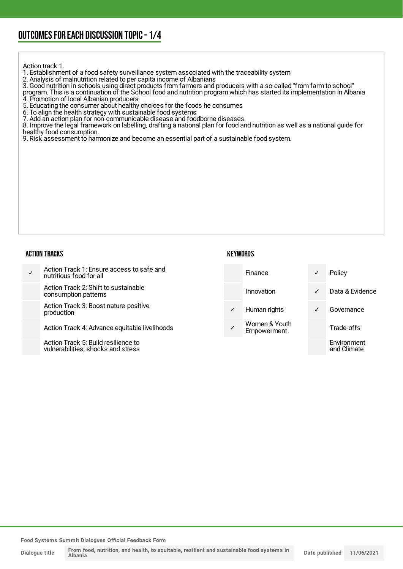## OUTCOMESFOR EACH DISCUSSION TOPIC- 1/4

Action track 1.

1. Establishment of a food safety surveillance system associated with the traceability system

2. Analysis of malnutrition related to per capita income of Albanians

3. Good nutrition in schools using direct products from farmers and producers with a so-called "from farm to school"

program. This is a continuation of the School food and nutrition program which has started its implementation in Albania 4. Promotion of local Albanian producers

5. Educating the consumer about healthy choices for the foods he consumes

6. To align the health strategy with sustainable food systems

7. Add an action plan for non-communicable disease and foodborne diseases.

8. Improve the legal framework on labelling, drafting a national plan for food and nutrition as well as a national guide for healthy food consumption.

9. Risk assessment to harmonize and become an essential part of a sustainable food system.

#### ACTION TRACKS

### **KEYWORDS**

| Action Track 1: Ensure access to safe and<br>nutritious food for all      |              | <b>Finance</b>               | ✓            | Policy                     |
|---------------------------------------------------------------------------|--------------|------------------------------|--------------|----------------------------|
| Action Track 2: Shift to sustainable<br>consumption patterns              |              | Innovation                   | $\checkmark$ | Data & Evidence            |
| Action Track 3: Boost nature-positive<br>production                       | $\checkmark$ | Human rights                 | ✓            | Governance                 |
| Action Track 4: Advance equitable livelihoods                             |              | Women & Youth<br>Empowerment |              | Trade-offs                 |
| Action Track 5: Build resilience to<br>vulnerabilities, shocks and stress |              |                              |              | Environment<br>and Climate |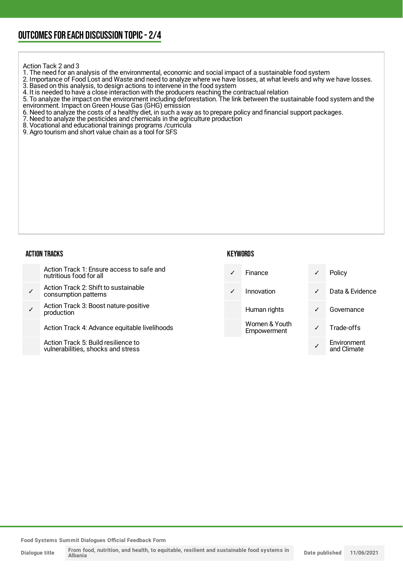Action Tack 2 and 3

- 1. The need for an analysis of the environmental, economic and social impact of a sustainable food system
- 2. Importance of Food Lost and Waste and need to analyze where we have losses, at what levels and why we have losses. 3. Based on this analysis, to design actions to intervene in the food system
- 4. It is needed to have a close interaction with the producers reaching the contractual relation
- 5. To analyze the impact on the environment including deforestation. The link between the sustainable food system and the environment. Impact on Green House Gas (GHG) emission
- 6. Need to analyze the costs of a healthy diet, in such a way as to prepare policy and financial support packages.
- 7. Need to analyze the pesticides and chemicals in the agriculture production
- 8. Vocational and educational trainings programs / curricula
- 9. Agro tourism and short value chain as a tool for SFS

### ACTION TRACKS

### **KEYWORDS**

✓

and Climate

Action Track 1: Ensure access to safe and nutritious food for all ✓ Action Track 2: Shift to sustainable consumption patterns ✓ Action Track 3: Boost nature-positive production Action Track 4: Advance equitable livelihoods Finance **√** Policy ✓ Innovation ✓ Data & Evidence Human rights **v** Governance Women & Youth Women & Tourn<br>Empowerment V Trade-offs Environment

Action Track 5: Build resilience to vulnerabilities, shocks and stress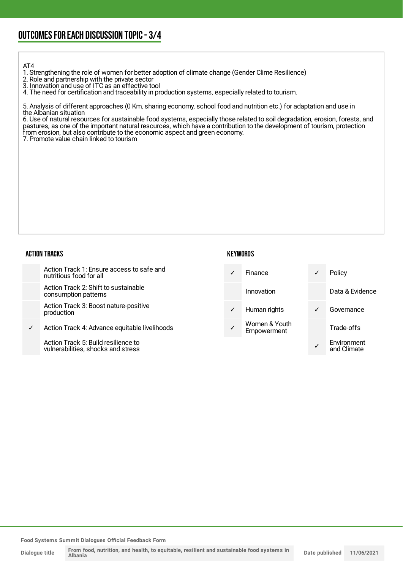#### AT4

1. Strengthening the role of women for better adoption of climate change (Gender Clime Resilience)

2. Role and partnership with the private sector

3. Innovation and use of ITC as an effective tool

4. The need for certification and traceability in production systems, especially related to tourism.

5. Analysis of different approaches (0 Km, sharing economy, school food and nutrition etc.) for adaptation and use in the Albanian situation

6. Use of natural resources for sustainable food systems, especially those related to soil degradation, erosion, forests, and pastures, as one of the important natural resources, which have a contribution to the development of tourism, protection from erosion, but also contribute to the economic aspect and green economy.

7. Promote value chain linked to tourism

### ACTION TRACKS

### **KEYWORDS**

|   | Action Track 1: Ensure access to safe and<br>nutritious food for all      | $\checkmark$ | <b>Finance</b>               | ✓ | Policy                     |
|---|---------------------------------------------------------------------------|--------------|------------------------------|---|----------------------------|
|   | Action Track 2: Shift to sustainable<br>consumption patterns              |              | Innovation                   |   | Data & Evidence            |
|   | Action Track 3: Boost nature-positive<br>production                       | $\checkmark$ | Human rights                 | ✓ | Governance                 |
| ✓ | Action Track 4: Advance equitable livelihoods                             |              | Women & Youth<br>Empowerment |   | Trade-offs                 |
|   | Action Track 5: Build resilience to<br>vulnerabilities, shocks and stress |              |                              |   | Environment<br>and Climate |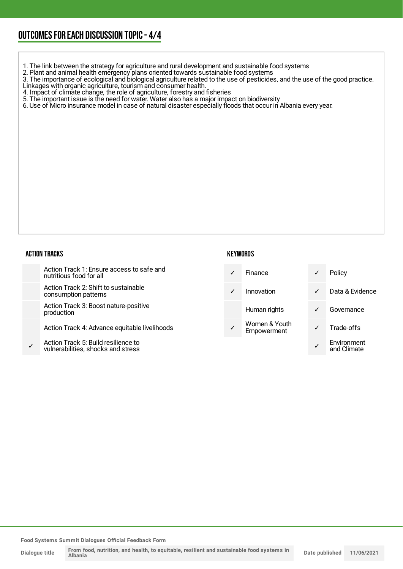## OUTCOMESFOR EACH DISCUSSION TOPIC- 4/4

- 1. The link between the strategy for agriculture and rural development and sustainable food systems
- 2. Plant and animal health emergency plans oriented towards sustainable food systems

3. The importance of ecological and biological agriculture related to the use of pesticides, and the use of the good practice. Linkages with organic agriculture, tourism and consumer health.

- 4. Impact of climate change, the role of agriculture, forestry and fisheries
- 5. The important issue is the need for water. Water also has a major impact on biodiversity
- 6. Use of Micro insurance model in case of natural disaster especially floods that occur in Albania every year.

### **ACTIO**

✓

| )N TRACKS |                                                                           | <b>KEYWORDS</b> |                              |              |                            |
|-----------|---------------------------------------------------------------------------|-----------------|------------------------------|--------------|----------------------------|
|           | Action Track 1: Ensure access to safe and<br>nutritious food for all      | ✓               | Finance                      |              | Policy                     |
|           | Action Track 2: Shift to sustainable<br>consumption patterns              | ✓               | Innovation                   | $\checkmark$ | Data & Evidence            |
|           | Action Track 3: Boost nature-positive<br>production                       |                 | Human rights                 |              | Governance                 |
|           | Action Track 4: Advance equitable livelihoods                             | ✓               | Women & Youth<br>Empowerment |              | Trade-offs                 |
|           | Action Track 5: Build resilience to<br>vulnerabilities, shocks and stress |                 |                              |              | Environment<br>and Climate |